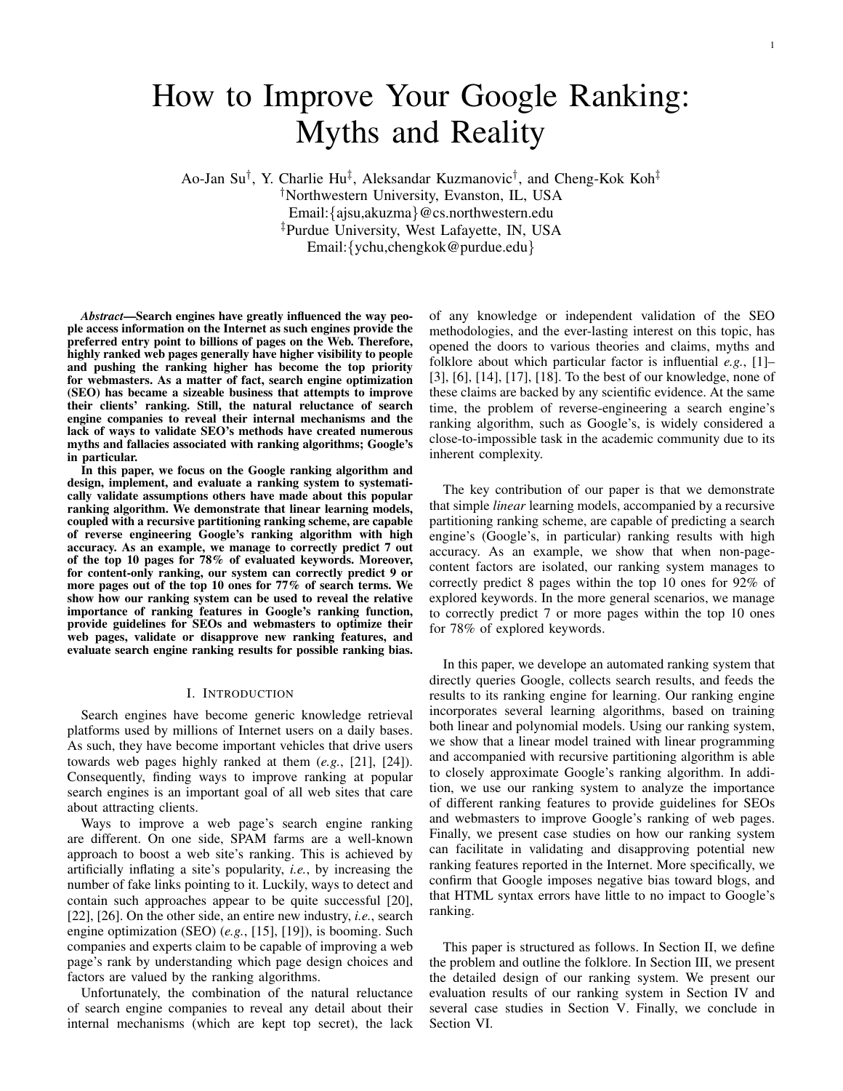Ao-Jan Su*†* , Y. Charlie Hu*‡* , Aleksandar Kuzmanovic*†* , and Cheng-Kok Koh*‡ †*Northwestern University, Evanston, IL, USA Email:*{*ajsu,akuzma*}*@cs.northwestern.edu *‡*Purdue University, West Lafayette, IN, USA Email:*{*ychu,chengkok@purdue.edu*}*

*Abstract*—Search engines have greatly influenced the way people access information on the Internet as such engines provide the preferred entry point to billions of pages on the Web. Therefore, highly ranked web pages generally have higher visibility to people and pushing the ranking higher has become the top priority for webmasters. As a matter of fact, search engine optimization (SEO) has became a sizeable business that attempts to improve their clients' ranking. Still, the natural reluctance of search engine companies to reveal their internal mechanisms and the lack of ways to validate SEO's methods have created numerous myths and fallacies associated with ranking algorithms; Google's in particular.

In this paper, we focus on the Google ranking algorithm and design, implement, and evaluate a ranking system to systematically validate assumptions others have made about this popular ranking algorithm. We demonstrate that linear learning models, coupled with a recursive partitioning ranking scheme, are capable of reverse engineering Google's ranking algorithm with high accuracy. As an example, we manage to correctly predict 7 out of the top 10 pages for 78% of evaluated keywords. Moreover, for content-only ranking, our system can correctly predict 9 or more pages out of the top 10 ones for 77% of search terms. We show how our ranking system can be used to reveal the relative importance of ranking features in Google's ranking function, provide guidelines for SEOs and webmasters to optimize their web pages, validate or disapprove new ranking features, and evaluate search engine ranking results for possible ranking bias.

#### I. INTRODUCTION

Search engines have become generic knowledge retrieval platforms used by millions of Internet users on a daily bases. As such, they have become important vehicles that drive users towards web pages highly ranked at them (*e.g.*, [21], [24]). Consequently, finding ways to improve ranking at popular search engines is an important goal of all web sites that care about attracting clients.

Ways to improve a web page's search engine ranking are different. On one side, SPAM farms are a well-known approach to boost a web site's ranking. This is achieved by artificially inflating a site's popularity, *i.e.*, by increasing the number of fake links pointing to it. Luckily, ways to detect and contain such approaches appear to be quite successful [20], [22], [26]. On the other side, an entire new industry, *i.e.*, search engine optimization (SEO) (*e.g.*, [15], [19]), is booming. Such companies and experts claim to be capable of improving a web page's rank by understanding which page design choices and factors are valued by the ranking algorithms.

Unfortunately, the combination of the natural reluctance of search engine companies to reveal any detail about their internal mechanisms (which are kept top secret), the lack of any knowledge or independent validation of the SEO methodologies, and the ever-lasting interest on this topic, has opened the doors to various theories and claims, myths and folklore about which particular factor is influential *e.g.*, [1]– [3], [6], [14], [17], [18]. To the best of our knowledge, none of these claims are backed by any scientific evidence. At the same time, the problem of reverse-engineering a search engine's ranking algorithm, such as Google's, is widely considered a close-to-impossible task in the academic community due to its inherent complexity.

The key contribution of our paper is that we demonstrate that simple *linear* learning models, accompanied by a recursive partitioning ranking scheme, are capable of predicting a search engine's (Google's, in particular) ranking results with high accuracy. As an example, we show that when non-pagecontent factors are isolated, our ranking system manages to correctly predict 8 pages within the top 10 ones for 92% of explored keywords. In the more general scenarios, we manage to correctly predict 7 or more pages within the top 10 ones for 78% of explored keywords.

In this paper, we develope an automated ranking system that directly queries Google, collects search results, and feeds the results to its ranking engine for learning. Our ranking engine incorporates several learning algorithms, based on training both linear and polynomial models. Using our ranking system, we show that a linear model trained with linear programming and accompanied with recursive partitioning algorithm is able to closely approximate Google's ranking algorithm. In addition, we use our ranking system to analyze the importance of different ranking features to provide guidelines for SEOs and webmasters to improve Google's ranking of web pages. Finally, we present case studies on how our ranking system can facilitate in validating and disapproving potential new ranking features reported in the Internet. More specifically, we confirm that Google imposes negative bias toward blogs, and that HTML syntax errors have little to no impact to Google's ranking.

This paper is structured as follows. In Section II, we define the problem and outline the folklore. In Section III, we present the detailed design of our ranking system. We present our evaluation results of our ranking system in Section IV and several case studies in Section V. Finally, we conclude in Section VI.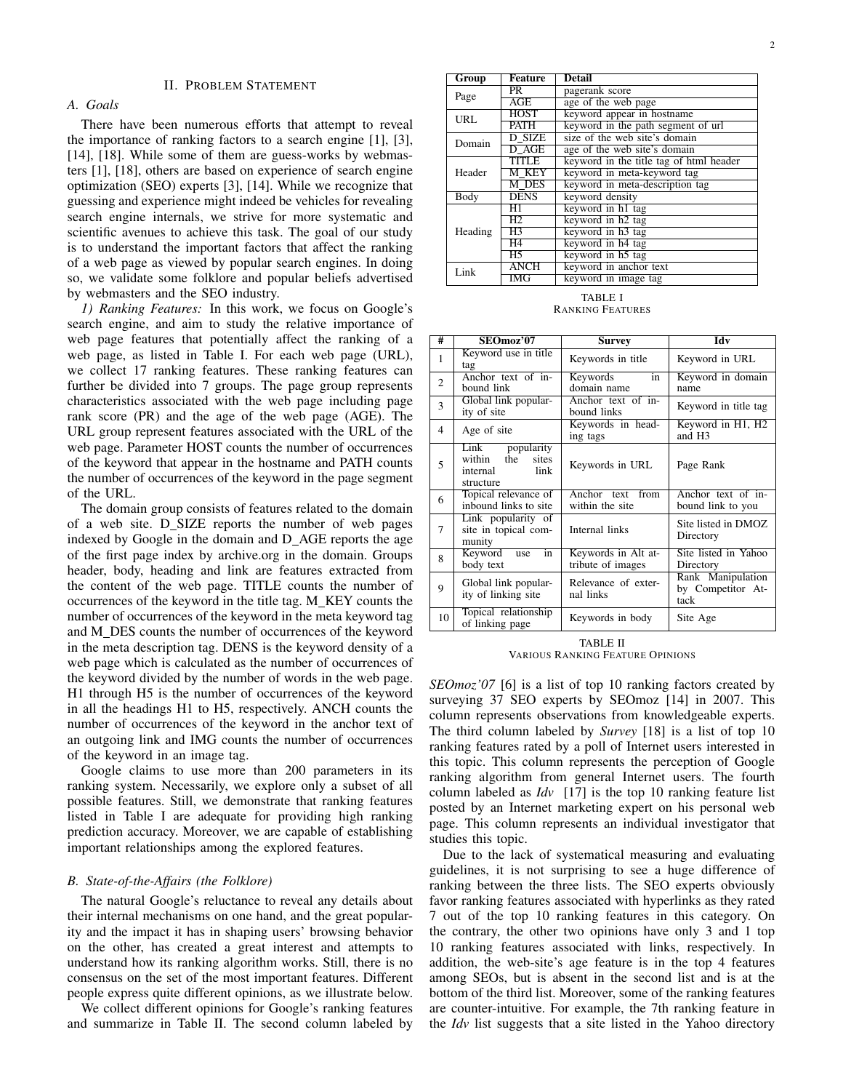## II. PROBLEM STATEMENT

# *A. Goals*

There have been numerous efforts that attempt to reveal the importance of ranking factors to a search engine [1], [3], [14], [18]. While some of them are guess-works by webmasters [1], [18], others are based on experience of search engine optimization (SEO) experts [3], [14]. While we recognize that guessing and experience might indeed be vehicles for revealing search engine internals, we strive for more systematic and scientific avenues to achieve this task. The goal of our study is to understand the important factors that affect the ranking of a web page as viewed by popular search engines. In doing so, we validate some folklore and popular beliefs advertised by webmasters and the SEO industry.

*1) Ranking Features:* In this work, we focus on Google's search engine, and aim to study the relative importance of web page features that potentially affect the ranking of a web page, as listed in Table I. For each web page (URL), we collect 17 ranking features. These ranking features can further be divided into 7 groups. The page group represents characteristics associated with the web page including page rank score (PR) and the age of the web page (AGE). The URL group represent features associated with the URL of the web page. Parameter HOST counts the number of occurrences of the keyword that appear in the hostname and PATH counts the number of occurrences of the keyword in the page segment of the URL.

The domain group consists of features related to the domain of a web site. D SIZE reports the number of web pages indexed by Google in the domain and D AGE reports the age of the first page index by archive.org in the domain. Groups header, body, heading and link are features extracted from the content of the web page. TITLE counts the number of occurrences of the keyword in the title tag. M\_KEY counts the number of occurrences of the keyword in the meta keyword tag and M DES counts the number of occurrences of the keyword in the meta description tag. DENS is the keyword density of a web page which is calculated as the number of occurrences of the keyword divided by the number of words in the web page. H1 through H5 is the number of occurrences of the keyword in all the headings H1 to H5, respectively. ANCH counts the number of occurrences of the keyword in the anchor text of an outgoing link and IMG counts the number of occurrences of the keyword in an image tag.

Google claims to use more than 200 parameters in its ranking system. Necessarily, we explore only a subset of all possible features. Still, we demonstrate that ranking features listed in Table I are adequate for providing high ranking prediction accuracy. Moreover, we are capable of establishing important relationships among the explored features.

## *B. State-of-the-Affairs (the Folklore)*

The natural Google's reluctance to reveal any details about their internal mechanisms on one hand, and the great popularity and the impact it has in shaping users' browsing behavior on the other, has created a great interest and attempts to understand how its ranking algorithm works. Still, there is no consensus on the set of the most important features. Different people express quite different opinions, as we illustrate below.

We collect different opinions for Google's ranking features and summarize in Table II. The second column labeled by

| Group   | <b>Feature</b> | <b>Detail</b>                           |  |
|---------|----------------|-----------------------------------------|--|
| Page    | PR.            | pagerank score                          |  |
|         | AGE            | age of the web page                     |  |
| URL     | <b>HOST</b>    | keyword appear in hostname              |  |
|         | PATH           | keyword in the path segment of url      |  |
| Domain  | D SIZE         | size of the web site's domain           |  |
|         | D AGE          | age of the web site's domain            |  |
| Header  | TITLE          | keyword in the title tag of html header |  |
|         | M KEY          | keyword in meta-keyword tag             |  |
|         | M DES          | keyword in meta-description tag         |  |
| Body    | <b>DENS</b>    | keyword density                         |  |
|         | H1             | keyword in h1 tag                       |  |
| Heading | H2.            | keyword in h2 tag                       |  |
|         | H3             | keyword in h3 tag                       |  |
|         | H4             | keyword in h4 tag                       |  |
|         | H5             | keyword in h5 tag                       |  |
| Link    | <b>ANCH</b>    | keyword in anchor text                  |  |
|         | <b>IMG</b>     | keyword in image tag                    |  |

TABLE I RANKING FEATURES

| #              | $SEO$ moz'07                                                                  | Survey                                   | Idv                                            |
|----------------|-------------------------------------------------------------------------------|------------------------------------------|------------------------------------------------|
| 1              | Keyword use in title<br>tag                                                   | Keywords in title                        | Keyword in URL                                 |
| $\overline{2}$ | Anchor text of in-<br>bound link                                              | Keywords<br>in<br>domain name            | Keyword in domain<br>name                      |
| 3              | Global link popular-<br>ity of site                                           | Anchor text of in-<br>bound links        | Keyword in title tag                           |
| $\overline{4}$ | Age of site                                                                   | Keywords in head-<br>ing tags            | Keyword in H1, H2<br>and H <sub>3</sub>        |
| 5              | popularity<br>Link<br>the<br>within<br>sites<br>link<br>internal<br>structure | Keywords in URL                          | Page Rank                                      |
| 6              | Topical relevance of<br>inbound links to site                                 | Anchor text from<br>within the site      | Anchor text of in-<br>bound link to you        |
| 7              | Link popularity of<br>site in topical com-<br>munity                          | Internal links                           | Site listed in DMOZ<br>Directory               |
| 8              | Keyword<br>in<br>use<br>body text                                             | Keywords in Alt at-<br>tribute of images | Site listed in Yahoo<br>Directory              |
| 9              | Global link popular-<br>ity of linking site                                   | Relevance of exter-<br>nal links         | Rank Manipulation<br>by Competitor At-<br>tack |
| 10             | Topical relationship<br>of linking page                                       | Keywords in body                         | Site Age                                       |

TABLE II VARIOUS RANKING FEATURE OPINIONS

*SEOmoz'07* [6] is a list of top 10 ranking factors created by surveying 37 SEO experts by SEOmoz [14] in 2007. This column represents observations from knowledgeable experts. The third column labeled by *Survey* [18] is a list of top 10 ranking features rated by a poll of Internet users interested in this topic. This column represents the perception of Google ranking algorithm from general Internet users. The fourth column labeled as *Idv* [17] is the top 10 ranking feature list posted by an Internet marketing expert on his personal web page. This column represents an individual investigator that studies this topic.

Due to the lack of systematical measuring and evaluating guidelines, it is not surprising to see a huge difference of ranking between the three lists. The SEO experts obviously favor ranking features associated with hyperlinks as they rated 7 out of the top 10 ranking features in this category. On the contrary, the other two opinions have only 3 and 1 top 10 ranking features associated with links, respectively. In addition, the web-site's age feature is in the top 4 features among SEOs, but is absent in the second list and is at the bottom of the third list. Moreover, some of the ranking features are counter-intuitive. For example, the 7th ranking feature in the *Idv* list suggests that a site listed in the Yahoo directory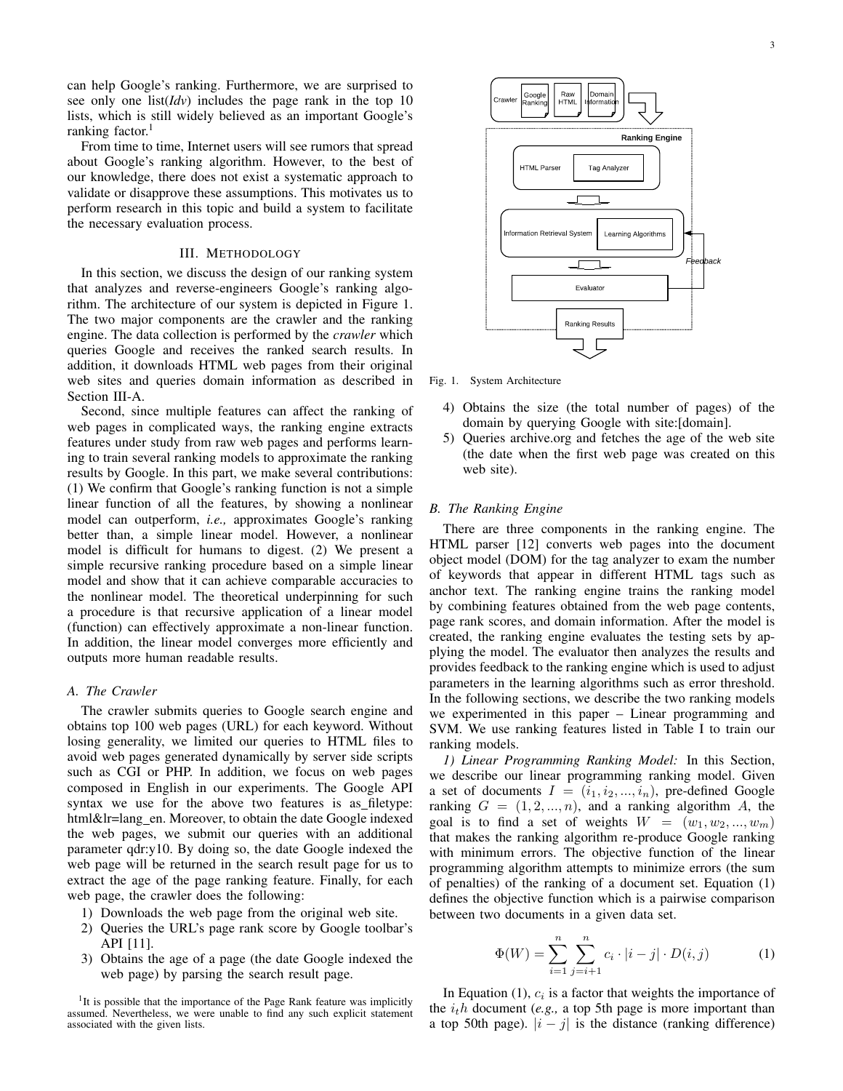can help Google's ranking. Furthermore, we are surprised to see only one list(*Idv*) includes the page rank in the top 10 lists, which is still widely believed as an important Google's ranking factor.<sup>1</sup>

From time to time, Internet users will see rumors that spread about Google's ranking algorithm. However, to the best of our knowledge, there does not exist a systematic approach to validate or disapprove these assumptions. This motivates us to perform research in this topic and build a system to facilitate the necessary evaluation process.

## III. METHODOLOGY

In this section, we discuss the design of our ranking system that analyzes and reverse-engineers Google's ranking algorithm. The architecture of our system is depicted in Figure 1. The two major components are the crawler and the ranking engine. The data collection is performed by the *crawler* which queries Google and receives the ranked search results. In addition, it downloads HTML web pages from their original web sites and queries domain information as described in Section III-A.

Second, since multiple features can affect the ranking of web pages in complicated ways, the ranking engine extracts features under study from raw web pages and performs learning to train several ranking models to approximate the ranking results by Google. In this part, we make several contributions: (1) We confirm that Google's ranking function is not a simple linear function of all the features, by showing a nonlinear model can outperform, *i.e.,* approximates Google's ranking better than, a simple linear model. However, a nonlinear model is difficult for humans to digest. (2) We present a simple recursive ranking procedure based on a simple linear model and show that it can achieve comparable accuracies to the nonlinear model. The theoretical underpinning for such a procedure is that recursive application of a linear model (function) can effectively approximate a non-linear function. In addition, the linear model converges more efficiently and outputs more human readable results.

## *A. The Crawler*

The crawler submits queries to Google search engine and obtains top 100 web pages (URL) for each keyword. Without losing generality, we limited our queries to HTML files to avoid web pages generated dynamically by server side scripts such as CGI or PHP. In addition, we focus on web pages composed in English in our experiments. The Google API syntax we use for the above two features is as filetype: html&lr=lang en. Moreover, to obtain the date Google indexed the web pages, we submit our queries with an additional parameter qdr:y10. By doing so, the date Google indexed the web page will be returned in the search result page for us to extract the age of the page ranking feature. Finally, for each web page, the crawler does the following:

- 1) Downloads the web page from the original web site.
- 2) Queries the URL's page rank score by Google toolbar's API [11].
- 3) Obtains the age of a page (the date Google indexed the web page) by parsing the search result page.

<sup>1</sup>It is possible that the importance of the Page Rank feature was implicitly assumed. Nevertheless, we were unable to find any such explicit statement associated with the given lists.



Fig. 1. System Architecture

- 4) Obtains the size (the total number of pages) of the domain by querying Google with site:[domain].
- 5) Queries archive.org and fetches the age of the web site (the date when the first web page was created on this web site).

### *B. The Ranking Engine*

There are three components in the ranking engine. The HTML parser [12] converts web pages into the document object model (DOM) for the tag analyzer to exam the number of keywords that appear in different HTML tags such as anchor text. The ranking engine trains the ranking model by combining features obtained from the web page contents, page rank scores, and domain information. After the model is created, the ranking engine evaluates the testing sets by applying the model. The evaluator then analyzes the results and provides feedback to the ranking engine which is used to adjust parameters in the learning algorithms such as error threshold. In the following sections, we describe the two ranking models we experimented in this paper – Linear programming and SVM. We use ranking features listed in Table I to train our ranking models.

*1) Linear Programming Ranking Model:* In this Section, we describe our linear programming ranking model. Given a set of documents  $I = (i_1, i_2, ..., i_n)$ , pre-defined Google ranking  $G = (1, 2, \ldots, n)$ , and a ranking algorithm A, the goal is to find a set of weights  $W = (w_1, w_2, ..., w_m)$ that makes the ranking algorithm re-produce Google ranking with minimum errors. The objective function of the linear programming algorithm attempts to minimize errors (the sum of penalties) of the ranking of a document set. Equation (1) defines the objective function which is a pairwise comparison between two documents in a given data set.

$$
\Phi(W) = \sum_{i=1}^{n} \sum_{j=i+1}^{n} c_i \cdot |i-j| \cdot D(i,j)
$$
 (1)

In Equation  $(1)$ ,  $c_i$  is a factor that weights the importance of the *ith* document (*e.g.,* a top 5th page is more important than a top 50th page).  $|i - j|$  is the distance (ranking difference)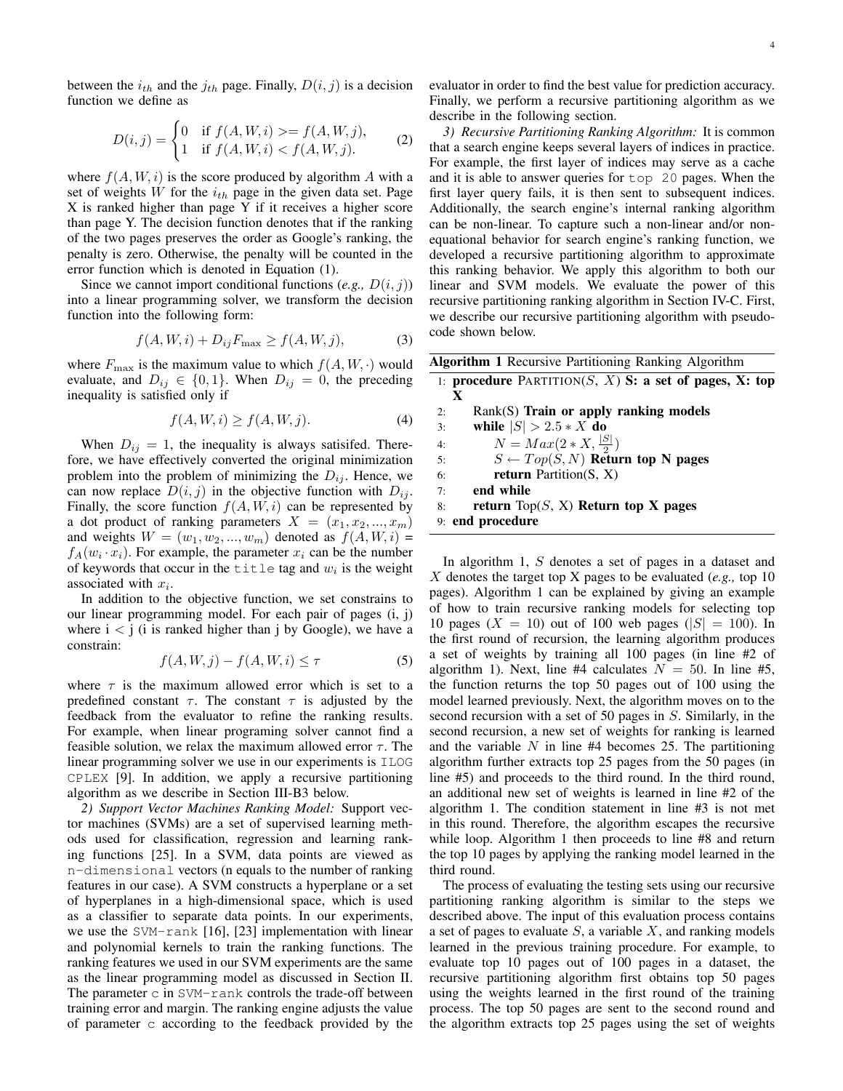between the  $i_{th}$  and the  $j_{th}$  page. Finally,  $D(i, j)$  is a decision function we define as

$$
D(i,j) = \begin{cases} 0 & \text{if } f(A, W, i) > = f(A, W, j), \\ 1 & \text{if } f(A, W, i) < f(A, W, j). \end{cases}
$$
 (2)

where  $f(A, W, i)$  is the score produced by algorithm A with a set of weights *W* for the  $i_{th}$  page in the given data set. Page X is ranked higher than page Y if it receives a higher score than page Y. The decision function denotes that if the ranking of the two pages preserves the order as Google's ranking, the penalty is zero. Otherwise, the penalty will be counted in the error function which is denoted in Equation (1).

Since we cannot import conditional functions (*e.g.,*  $D(i, j)$ ) into a linear programming solver, we transform the decision function into the following form:

$$
f(A, W, i) + D_{ij} F_{\text{max}} \ge f(A, W, j), \tag{3}
$$

where  $F_{\text{max}}$  is the maximum value to which  $f(A, W, \cdot)$  would evaluate, and  $D_{ij} \in \{0, 1\}$ . When  $D_{ij} = 0$ , the preceding inequality is satisfied only if

$$
f(A, W, i) \ge f(A, W, j). \tag{4}
$$

When  $D_{ij} = 1$ , the inequality is always satisifed. Therefore, we have effectively converted the original minimization problem into the problem of minimizing the  $D_{ij}$ . Hence, we can now replace  $D(i, j)$  in the objective function with  $D_{ij}$ . Finally, the score function  $f(A, W, i)$  can be represented by a dot product of ranking parameters  $X = (x_1, x_2, ..., x_m)$ and weights  $W = (w_1, w_2, ..., w_m)$  denoted as  $f(A, W, i)$  $f_A(w_i \cdot x_i)$ . For example, the parameter  $x_i$  can be the number of keywords that occur in the  $\text{title}$  tag and  $w_i$  is the weight associated with *x<sup>i</sup>* .

In addition to the objective function, we set constrains to our linear programming model. For each pair of pages (i, j) where  $i < j$  (i is ranked higher than j by Google), we have a constrain:

$$
f(A, W, j) - f(A, W, i) \le \tau \tag{5}
$$

where  $\tau$  is the maximum allowed error which is set to a predefined constant  $\tau$ . The constant  $\tau$  is adjusted by the feedback from the evaluator to refine the ranking results. For example, when linear programing solver cannot find a feasible solution, we relax the maximum allowed error  $\tau$ . The linear programming solver we use in our experiments is ILOG CPLEX [9]. In addition, we apply a recursive partitioning algorithm as we describe in Section III-B3 below.

*2) Support Vector Machines Ranking Model:* Support vector machines (SVMs) are a set of supervised learning methods used for classification, regression and learning ranking functions [25]. In a SVM, data points are viewed as n-dimensional vectors (n equals to the number of ranking features in our case). A SVM constructs a hyperplane or a set of hyperplanes in a high-dimensional space, which is used as a classifier to separate data points. In our experiments, we use the SVM-rank [16], [23] implementation with linear and polynomial kernels to train the ranking functions. The ranking features we used in our SVM experiments are the same as the linear programming model as discussed in Section II. The parameter  $\sin$  SVM-rank controls the trade-off between training error and margin. The ranking engine adjusts the value of parameter c according to the feedback provided by the evaluator in order to find the best value for prediction accuracy. Finally, we perform a recursive partitioning algorithm as we describe in the following section.

*3) Recursive Partitioning Ranking Algorithm:* It is common that a search engine keeps several layers of indices in practice. For example, the first layer of indices may serve as a cache and it is able to answer queries for top 20 pages. When the first layer query fails, it is then sent to subsequent indices. Additionally, the search engine's internal ranking algorithm can be non-linear. To capture such a non-linear and/or nonequational behavior for search engine's ranking function, we developed a recursive partitioning algorithm to approximate this ranking behavior. We apply this algorithm to both our linear and SVM models. We evaluate the power of this recursive partitioning ranking algorithm in Section IV-C. First, we describe our recursive partitioning algorithm with pseudocode shown below.

Algorithm 1 Recursive Partitioning Ranking Algorithm

|    | 1: procedure PARTITION(S, X) S: a set of pages, X: top |
|----|--------------------------------------------------------|
|    | X                                                      |
| 2: | $Rank(S)$ Train or apply ranking models                |
| 3: | while $ S  > 2.5*X$ do                                 |
| 4: | $N = Max(2*X, \frac{ S }{2})$                          |
| 5: | $S \leftarrow Top(S, N)$ Return top N pages            |
| 6: | <b>return</b> Partition $(S, X)$                       |
| 7: | end while                                              |
| 8: | return Top(S, X) Return top X pages                    |
|    | 9: end procedure                                       |

In algorithm 1, *S* denotes a set of pages in a dataset and *X* denotes the target top X pages to be evaluated (*e.g.,* top 10 pages). Algorithm 1 can be explained by giving an example of how to train recursive ranking models for selecting top 10 pages ( $X = 10$ ) out of 100 web pages ( $|S| = 100$ ). In the first round of recursion, the learning algorithm produces a set of weights by training all 100 pages (in line #2 of algorithm 1). Next, line #4 calculates  $N = 50$ . In line #5, the function returns the top 50 pages out of 100 using the model learned previously. Next, the algorithm moves on to the second recursion with a set of 50 pages in *S*. Similarly, in the second recursion, a new set of weights for ranking is learned and the variable *N* in line #4 becomes 25. The partitioning algorithm further extracts top 25 pages from the 50 pages (in line #5) and proceeds to the third round. In the third round, an additional new set of weights is learned in line #2 of the algorithm 1. The condition statement in line #3 is not met in this round. Therefore, the algorithm escapes the recursive while loop. Algorithm 1 then proceeds to line #8 and return the top 10 pages by applying the ranking model learned in the third round.

The process of evaluating the testing sets using our recursive partitioning ranking algorithm is similar to the steps we described above. The input of this evaluation process contains a set of pages to evaluate *S*, a variable *X*, and ranking models learned in the previous training procedure. For example, to evaluate top 10 pages out of 100 pages in a dataset, the recursive partitioning algorithm first obtains top 50 pages using the weights learned in the first round of the training process. The top 50 pages are sent to the second round and the algorithm extracts top 25 pages using the set of weights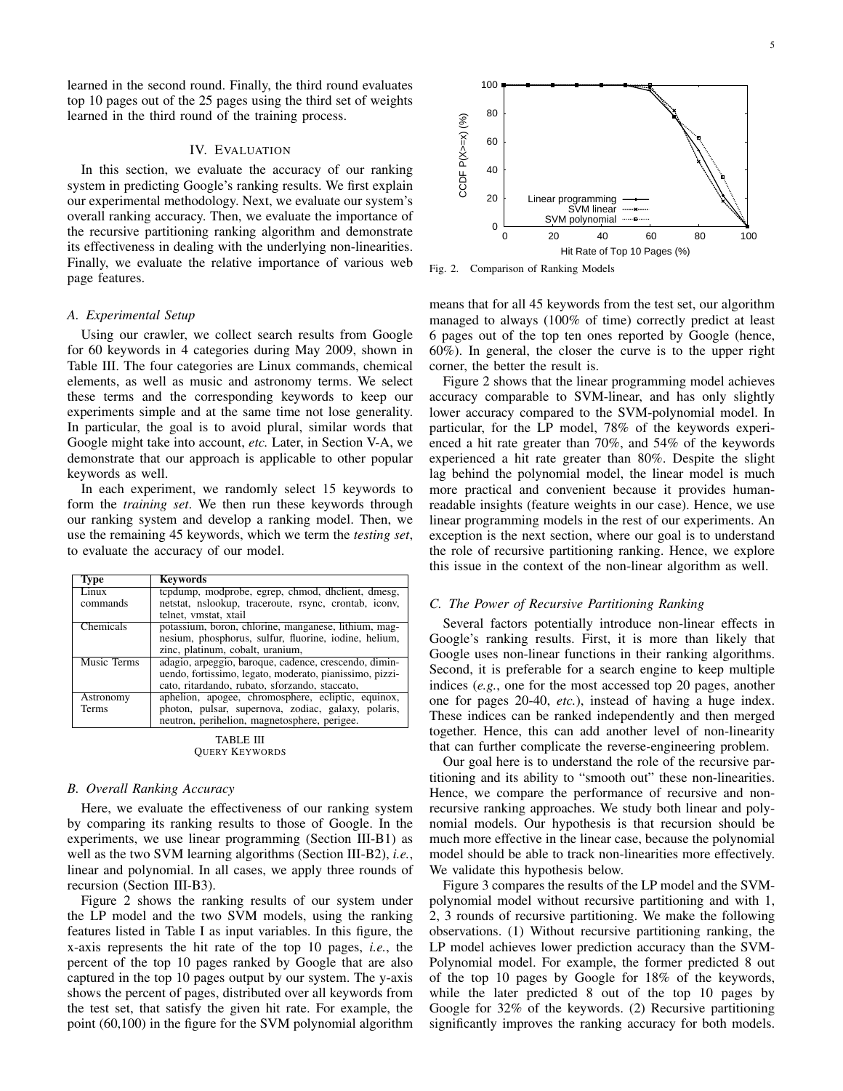learned in the second round. Finally, the third round evaluates top 10 pages out of the 25 pages using the third set of weights learned in the third round of the training process.

# IV. EVALUATION

In this section, we evaluate the accuracy of our ranking system in predicting Google's ranking results. We first explain our experimental methodology. Next, we evaluate our system's overall ranking accuracy. Then, we evaluate the importance of the recursive partitioning ranking algorithm and demonstrate its effectiveness in dealing with the underlying non-linearities. Finally, we evaluate the relative importance of various web page features.

#### *A. Experimental Setup*

Using our crawler, we collect search results from Google for 60 keywords in 4 categories during May 2009, shown in Table III. The four categories are Linux commands, chemical elements, as well as music and astronomy terms. We select these terms and the corresponding keywords to keep our experiments simple and at the same time not lose generality. In particular, the goal is to avoid plural, similar words that Google might take into account, *etc.* Later, in Section V-A, we demonstrate that our approach is applicable to other popular keywords as well.

In each experiment, we randomly select 15 keywords to form the *training set*. We then run these keywords through our ranking system and develop a ranking model. Then, we use the remaining 45 keywords, which we term the *testing set*, to evaluate the accuracy of our model.

| Type         | <b>Keywords</b>                                         |  |  |
|--------------|---------------------------------------------------------|--|--|
| Linux        | tepdump, modprobe, egrep, chmod, dhelient, dmesg,       |  |  |
| commands     | netstat, nslookup, traceroute, rsync, crontab, iconv,   |  |  |
|              | telnet, vmstat, xtail                                   |  |  |
| Chemicals    | potassium, boron, chlorine, manganese, lithium, mag-    |  |  |
|              | nesium, phosphorus, sulfur, fluorine, iodine, helium,   |  |  |
|              | zinc, platinum, cobalt, uranium,                        |  |  |
| Music Terms  | adagio, arpeggio, baroque, cadence, crescendo, dimin-   |  |  |
|              | uendo, fortissimo, legato, moderato, pianissimo, pizzi- |  |  |
|              | cato, ritardando, rubato, sforzando, staccato,          |  |  |
| Astronomy    | aphelion, apogee, chromosphere, ecliptic, equinox,      |  |  |
| <b>Terms</b> | photon, pulsar, supernova, zodiac, galaxy, polaris,     |  |  |
|              | neutron, perihelion, magnetosphere, perigee.            |  |  |
|              |                                                         |  |  |

TABLE III QUERY KEYWORDS

## *B. Overall Ranking Accuracy*

Here, we evaluate the effectiveness of our ranking system by comparing its ranking results to those of Google. In the experiments, we use linear programming (Section III-B1) as well as the two SVM learning algorithms (Section III-B2), *i.e.*, linear and polynomial. In all cases, we apply three rounds of recursion (Section III-B3).

Figure 2 shows the ranking results of our system under the LP model and the two SVM models, using the ranking features listed in Table I as input variables. In this figure, the x-axis represents the hit rate of the top 10 pages, *i.e.*, the percent of the top 10 pages ranked by Google that are also captured in the top 10 pages output by our system. The y-axis shows the percent of pages, distributed over all keywords from the test set, that satisfy the given hit rate. For example, the point (60,100) in the figure for the SVM polynomial algorithm



Fig. 2. Comparison of Ranking Models

means that for all 45 keywords from the test set, our algorithm managed to always (100% of time) correctly predict at least 6 pages out of the top ten ones reported by Google (hence, 60%). In general, the closer the curve is to the upper right corner, the better the result is.

Figure 2 shows that the linear programming model achieves accuracy comparable to SVM-linear, and has only slightly lower accuracy compared to the SVM-polynomial model. In particular, for the LP model, 78% of the keywords experienced a hit rate greater than 70%, and 54% of the keywords experienced a hit rate greater than 80%. Despite the slight lag behind the polynomial model, the linear model is much more practical and convenient because it provides humanreadable insights (feature weights in our case). Hence, we use linear programming models in the rest of our experiments. An exception is the next section, where our goal is to understand the role of recursive partitioning ranking. Hence, we explore this issue in the context of the non-linear algorithm as well.

## *C. The Power of Recursive Partitioning Ranking*

Several factors potentially introduce non-linear effects in Google's ranking results. First, it is more than likely that Google uses non-linear functions in their ranking algorithms. Second, it is preferable for a search engine to keep multiple indices (*e.g.*, one for the most accessed top 20 pages, another one for pages 20-40, *etc.*), instead of having a huge index. These indices can be ranked independently and then merged together. Hence, this can add another level of non-linearity that can further complicate the reverse-engineering problem.

Our goal here is to understand the role of the recursive partitioning and its ability to "smooth out" these non-linearities. Hence, we compare the performance of recursive and nonrecursive ranking approaches. We study both linear and polynomial models. Our hypothesis is that recursion should be much more effective in the linear case, because the polynomial model should be able to track non-linearities more effectively. We validate this hypothesis below.

Figure 3 compares the results of the LP model and the SVMpolynomial model without recursive partitioning and with 1, 2, 3 rounds of recursive partitioning. We make the following observations. (1) Without recursive partitioning ranking, the LP model achieves lower prediction accuracy than the SVM-Polynomial model. For example, the former predicted 8 out of the top 10 pages by Google for 18% of the keywords, while the later predicted 8 out of the top 10 pages by Google for 32% of the keywords. (2) Recursive partitioning significantly improves the ranking accuracy for both models.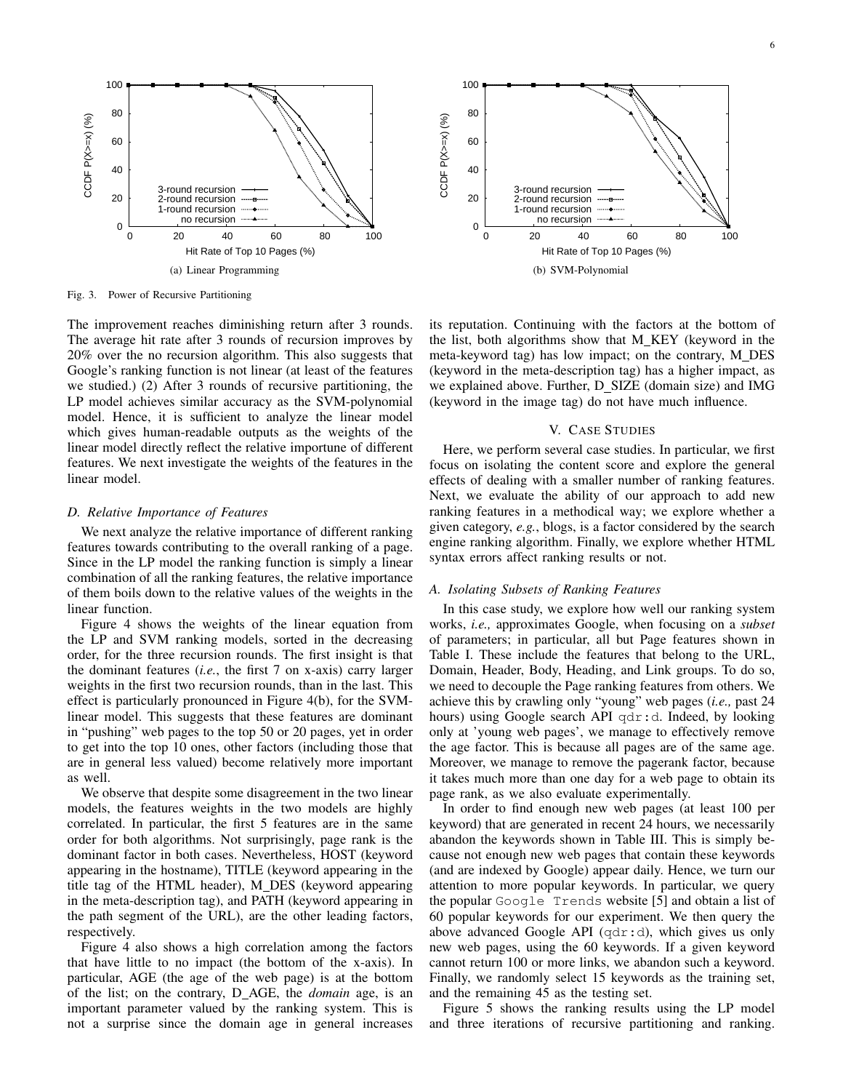

 100 80 CCDF  $P(X=\times)$  (%) CCDF P(X>=x) (%) 60 40 3-round recursion 20 2-round recursion 1-round recursion no recursion  $0\frac{L}{0}$  0 20 40 60 80 100 Hit Rate of Top 10 Pages (%) (b) SVM-Polynomial

Fig. 3. Power of Recursive Partitioning

The improvement reaches diminishing return after 3 rounds. The average hit rate after 3 rounds of recursion improves by 20% over the no recursion algorithm. This also suggests that Google's ranking function is not linear (at least of the features we studied.) (2) After 3 rounds of recursive partitioning, the LP model achieves similar accuracy as the SVM-polynomial model. Hence, it is sufficient to analyze the linear model which gives human-readable outputs as the weights of the linear model directly reflect the relative importune of different features. We next investigate the weights of the features in the linear model.

#### *D. Relative Importance of Features*

We next analyze the relative importance of different ranking features towards contributing to the overall ranking of a page. Since in the LP model the ranking function is simply a linear combination of all the ranking features, the relative importance of them boils down to the relative values of the weights in the linear function.

Figure 4 shows the weights of the linear equation from the LP and SVM ranking models, sorted in the decreasing order, for the three recursion rounds. The first insight is that the dominant features (*i.e.*, the first 7 on x-axis) carry larger weights in the first two recursion rounds, than in the last. This effect is particularly pronounced in Figure 4(b), for the SVMlinear model. This suggests that these features are dominant in "pushing" web pages to the top 50 or 20 pages, yet in order to get into the top 10 ones, other factors (including those that are in general less valued) become relatively more important as well.

We observe that despite some disagreement in the two linear models, the features weights in the two models are highly correlated. In particular, the first 5 features are in the same order for both algorithms. Not surprisingly, page rank is the dominant factor in both cases. Nevertheless, HOST (keyword appearing in the hostname), TITLE (keyword appearing in the title tag of the HTML header), M DES (keyword appearing in the meta-description tag), and PATH (keyword appearing in the path segment of the URL), are the other leading factors, respectively.

Figure 4 also shows a high correlation among the factors that have little to no impact (the bottom of the x-axis). In particular, AGE (the age of the web page) is at the bottom of the list; on the contrary, D AGE, the *domain* age, is an important parameter valued by the ranking system. This is not a surprise since the domain age in general increases

its reputation. Continuing with the factors at the bottom of the list, both algorithms show that M KEY (keyword in the meta-keyword tag) has low impact; on the contrary, M DES (keyword in the meta-description tag) has a higher impact, as we explained above. Further, D\_SIZE (domain size) and IMG (keyword in the image tag) do not have much influence.

## V. CASE STUDIES

Here, we perform several case studies. In particular, we first focus on isolating the content score and explore the general effects of dealing with a smaller number of ranking features. Next, we evaluate the ability of our approach to add new ranking features in a methodical way; we explore whether a given category, *e.g.*, blogs, is a factor considered by the search engine ranking algorithm. Finally, we explore whether HTML syntax errors affect ranking results or not.

## *A. Isolating Subsets of Ranking Features*

In this case study, we explore how well our ranking system works, *i.e.,* approximates Google, when focusing on a *subset* of parameters; in particular, all but Page features shown in Table I. These include the features that belong to the URL, Domain, Header, Body, Heading, and Link groups. To do so, we need to decouple the Page ranking features from others. We achieve this by crawling only "young" web pages (*i.e.,* past 24 hours) using Google search API qdr:d. Indeed, by looking only at 'young web pages', we manage to effectively remove the age factor. This is because all pages are of the same age. Moreover, we manage to remove the pagerank factor, because it takes much more than one day for a web page to obtain its page rank, as we also evaluate experimentally.

In order to find enough new web pages (at least 100 per keyword) that are generated in recent 24 hours, we necessarily abandon the keywords shown in Table III. This is simply because not enough new web pages that contain these keywords (and are indexed by Google) appear daily. Hence, we turn our attention to more popular keywords. In particular, we query the popular Google Trends website [5] and obtain a list of 60 popular keywords for our experiment. We then query the above advanced Google API (qdr:d), which gives us only new web pages, using the 60 keywords. If a given keyword cannot return 100 or more links, we abandon such a keyword. Finally, we randomly select 15 keywords as the training set, and the remaining 45 as the testing set.

Figure 5 shows the ranking results using the LP model and three iterations of recursive partitioning and ranking.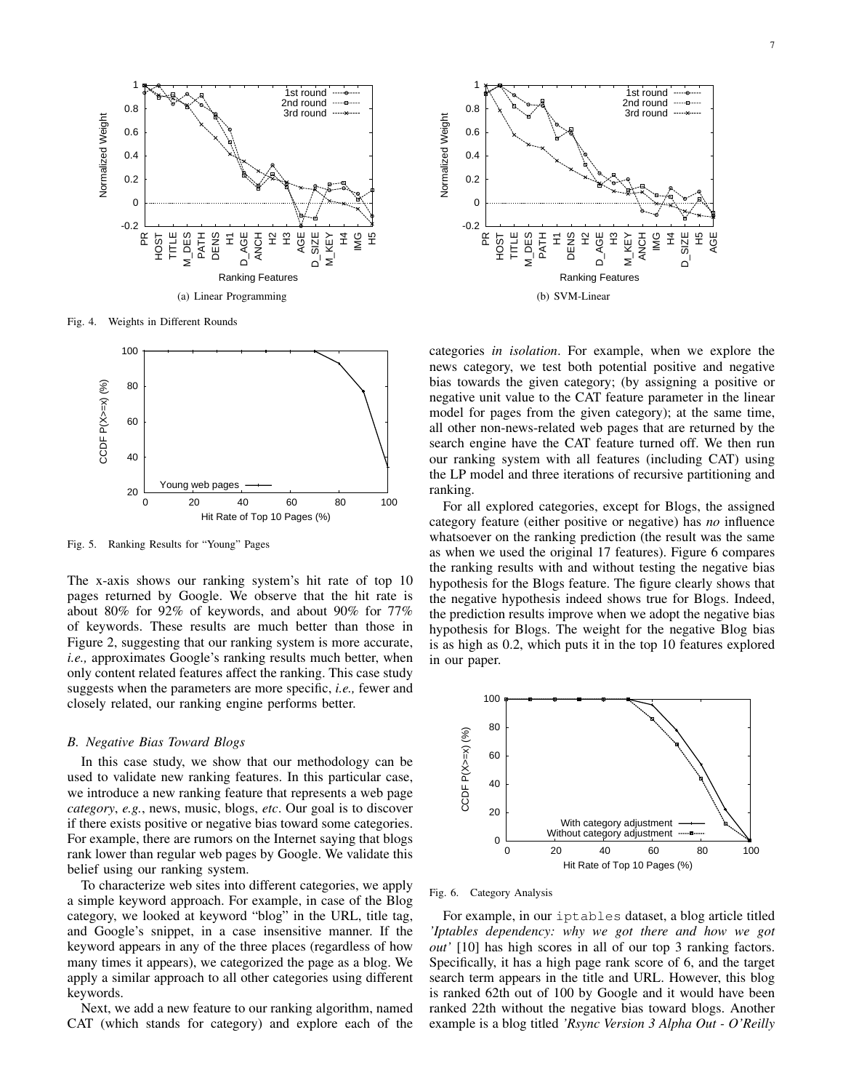

Fig. 4. Weights in Different Rounds



Fig. 5. Ranking Results for "Young" Pages

The x-axis shows our ranking system's hit rate of top 10 pages returned by Google. We observe that the hit rate is about 80% for 92% of keywords, and about 90% for 77% of keywords. These results are much better than those in Figure 2, suggesting that our ranking system is more accurate, *i.e.,* approximates Google's ranking results much better, when only content related features affect the ranking. This case study suggests when the parameters are more specific, *i.e.,* fewer and closely related, our ranking engine performs better.

## *B. Negative Bias Toward Blogs*

In this case study, we show that our methodology can be used to validate new ranking features. In this particular case, we introduce a new ranking feature that represents a web page *category*, *e.g.*, news, music, blogs, *etc*. Our goal is to discover if there exists positive or negative bias toward some categories. For example, there are rumors on the Internet saying that blogs rank lower than regular web pages by Google. We validate this belief using our ranking system.

To characterize web sites into different categories, we apply a simple keyword approach. For example, in case of the Blog category, we looked at keyword "blog" in the URL, title tag, and Google's snippet, in a case insensitive manner. If the keyword appears in any of the three places (regardless of how many times it appears), we categorized the page as a blog. We apply a similar approach to all other categories using different keywords.

Next, we add a new feature to our ranking algorithm, named CAT (which stands for category) and explore each of the



categories *in isolation*. For example, when we explore the news category, we test both potential positive and negative bias towards the given category; (by assigning a positive or negative unit value to the CAT feature parameter in the linear model for pages from the given category); at the same time, all other non-news-related web pages that are returned by the search engine have the CAT feature turned off. We then run our ranking system with all features (including CAT) using the LP model and three iterations of recursive partitioning and ranking.

For all explored categories, except for Blogs, the assigned category feature (either positive or negative) has *no* influence whatsoever on the ranking prediction (the result was the same as when we used the original 17 features). Figure 6 compares the ranking results with and without testing the negative bias hypothesis for the Blogs feature. The figure clearly shows that the negative hypothesis indeed shows true for Blogs. Indeed, the prediction results improve when we adopt the negative bias hypothesis for Blogs. The weight for the negative Blog bias is as high as 0.2, which puts it in the top 10 features explored in our paper.



Fig. 6. Category Analysis

For example, in our iptables dataset, a blog article titled *'Iptables dependency: why we got there and how we got out'* [10] has high scores in all of our top 3 ranking factors. Specifically, it has a high page rank score of 6, and the target search term appears in the title and URL. However, this blog is ranked 62th out of 100 by Google and it would have been ranked 22th without the negative bias toward blogs. Another example is a blog titled *'Rsync Version 3 Alpha Out - O'Reilly*